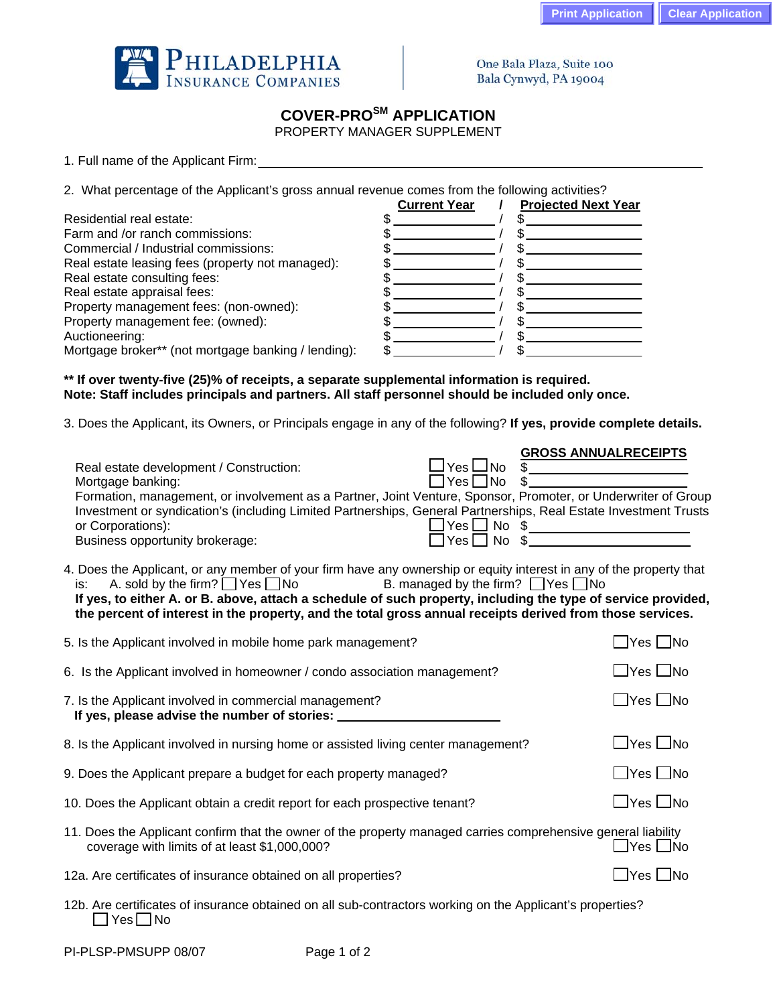

One Bala Plaza, Suite 100 Bala Cynwyd, PA 19004

## **COVER-PROSM APPLICATION**

PROPERTY MANAGER SUPPLEMENT

1. Full name of the Applicant Firm:

2. What percentage of the Applicant's gross annual revenue comes from the following activities?

|                                                     | <b>Current Year</b> | <b>Projected Next Year</b> |
|-----------------------------------------------------|---------------------|----------------------------|
| Residential real estate:                            |                     |                            |
| Farm and /or ranch commissions:                     |                     |                            |
| Commercial / Industrial commissions:                |                     |                            |
| Real estate leasing fees (property not managed):    |                     |                            |
| Real estate consulting fees:                        |                     |                            |
| Real estate appraisal fees:                         |                     |                            |
| Property management fees: (non-owned):              |                     |                            |
| Property management fee: (owned):                   |                     |                            |
| Auctioneering:                                      |                     |                            |
| Mortgage broker** (not mortgage banking / lending): |                     |                            |

**\*\* If over twenty-five (25)% of receipts, a separate supplemental information is required. Note: Staff includes principals and partners. All staff personnel should be included only once.** 

3. Does the Applicant, its Owners, or Principals engage in any of the following? **If yes, provide complete details.**

|                                                                                                                  |                                    | <b>GROSS ANNUALRECEIPTS</b> |
|------------------------------------------------------------------------------------------------------------------|------------------------------------|-----------------------------|
| Real estate development / Construction:                                                                          | $\Box$ Yes $\Box$ No               |                             |
| Mortgage banking:                                                                                                | $\Box$ Yes $\Box$ No $\mathsf{\$}$ |                             |
| Formation, management, or involvement as a Partner, Joint Venture, Sponsor, Promoter, or Underwriter of Group    |                                    |                             |
| Investment or syndication's (including Limited Partnerships, General Partnerships, Real Estate Investment Trusts |                                    |                             |
| or Corporations):                                                                                                | $\exists$ Yes $\Box$ No $\,$ \$    |                             |
| Business opportunity brokerage:                                                                                  | $\Box$ Yes $\Box$ No $\$           |                             |

4. Does the Applicant, or any member of your firm have any ownership or equity interest in any of the property that is: A. sold by the firm?  $\Box$  Yes  $\Box$  No B. managed by the firm?  $\Box$  Yes  $\Box$  No

## **If yes, to either A. or B. above, attach a schedule of such property, including the type of service provided, the percent of interest in the property, and the total gross annual receipts derived from those services.**

| 5. Is the Applicant involved in mobile home park management?                                                                                                   | $\Box$ Yes $\Box$ No       |  |  |
|----------------------------------------------------------------------------------------------------------------------------------------------------------------|----------------------------|--|--|
| 6. Is the Applicant involved in homeowner / condo association management?                                                                                      | $\Box$ Yes $\Box$ No       |  |  |
| 7. Is the Applicant involved in commercial management?<br>If yes, please advise the number of stories: __                                                      | $\Box$ Yes $\Box$ No       |  |  |
| 8. Is the Applicant involved in nursing home or assisted living center management?                                                                             | $\Box$ Yes $\Box$ No       |  |  |
| 9. Does the Applicant prepare a budget for each property managed?                                                                                              | $\Box$ Yes $\Box$ No       |  |  |
| 10. Does the Applicant obtain a credit report for each prospective tenant?                                                                                     | $\square$ Yes $\square$ No |  |  |
| 11. Does the Applicant confirm that the owner of the property managed carries comprehensive general liability<br>coverage with limits of at least \$1,000,000? | $\Box$ Yes $\Box$ No       |  |  |
| 12a. Are certificates of insurance obtained on all properties?                                                                                                 | ⊿Yes ∟No                   |  |  |
| 12b. Are certificates of insurance obtained on all sub-contractors working on the Applicant's properties?                                                      |                            |  |  |

 $\Box$  Yes  $\Box$  No